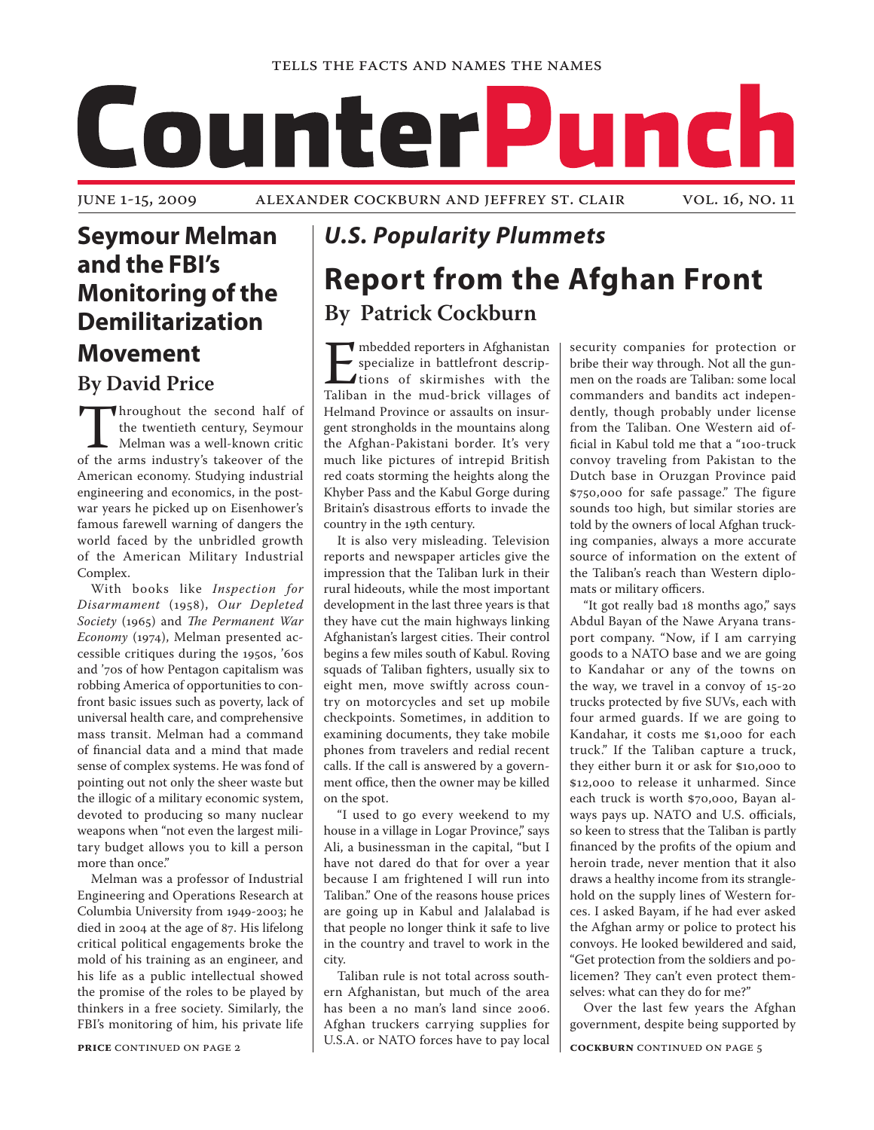

## **Seymour Melman and the FBI's Monitoring of the Demilitarization Movement**

**By David Price**

Integral of the twentieth century, Seymour<br>
Melman was a well-known critic<br>
of the arms industry's takeover of the the twentieth century, Seymour Melman was a well-known critic American economy. Studying industrial engineering and economics, in the postwar years he picked up on Eisenhower's famous farewell warning of dangers the world faced by the unbridled growth of the American Military Industrial Complex.

With books like *Inspection for Disarmament* (1958), *Our Depleted Society* (1965) and *The Permanent War Economy* (1974), Melman presented accessible critiques during the 1950s, '60s and '70s of how Pentagon capitalism was robbing America of opportunities to confront basic issues such as poverty, lack of universal health care, and comprehensive mass transit. Melman had a command of financial data and a mind that made sense of complex systems. He was fond of pointing out not only the sheer waste but the illogic of a military economic system, devoted to producing so many nuclear weapons when "not even the largest military budget allows you to kill a person more than once."

Melman was a professor of Industrial Engineering and Operations Research at Columbia University from 1949-2003; he died in 2004 at the age of 87. His lifelong critical political engagements broke the mold of his training as an engineer, and his life as a public intellectual showed the promise of the roles to be played by thinkers in a free society. Similarly, the FBI's monitoring of him, his private life

# *U.S. Popularity Plummets* **Report from the Afghan Front By Patrick Cockburn**

mbedded reporters in Afghanistan<br>specialize in battlefront descrip-<br>tions of skirmishes with the<br>Taliban in the mud-brick villages of specialize in battlefront descriptions of skirmishes with the Taliban in the mud-brick villages of Helmand Province or assaults on insurgent strongholds in the mountains along the Afghan-Pakistani border. It's very much like pictures of intrepid British red coats storming the heights along the Khyber Pass and the Kabul Gorge during Britain's disastrous efforts to invade the country in the 19th century.

It is also very misleading. Television reports and newspaper articles give the impression that the Taliban lurk in their rural hideouts, while the most important development in the last three years is that they have cut the main highways linking Afghanistan's largest cities. Their control begins a few miles south of Kabul. Roving squads of Taliban fighters, usually six to eight men, move swiftly across country on motorcycles and set up mobile checkpoints. Sometimes, in addition to examining documents, they take mobile phones from travelers and redial recent calls. If the call is answered by a government office, then the owner may be killed on the spot.

"I used to go every weekend to my house in a village in Logar Province," says Ali, a businessman in the capital, "but I have not dared do that for over a year because I am frightened I will run into Taliban." One of the reasons house prices are going up in Kabul and Jalalabad is that people no longer think it safe to live in the country and travel to work in the city.

Taliban rule is not total across southern Afghanistan, but much of the area has been a no man's land since 2006. Afghan truckers carrying supplies for U.S.A. or NATO forces have to pay local

security companies for protection or bribe their way through. Not all the gunmen on the roads are Taliban: some local commanders and bandits act independently, though probably under license from the Taliban. One Western aid official in Kabul told me that a "100-truck convoy traveling from Pakistan to the Dutch base in Oruzgan Province paid \$750,000 for safe passage." The figure sounds too high, but similar stories are told by the owners of local Afghan trucking companies, always a more accurate source of information on the extent of the Taliban's reach than Western diplomats or military officers.

"It got really bad 18 months ago," says Abdul Bayan of the Nawe Aryana transport company. "Now, if I am carrying goods to a NATO base and we are going to Kandahar or any of the towns on the way, we travel in a convoy of 15-20 trucks protected by five SUVs, each with four armed guards. If we are going to Kandahar, it costs me \$1,000 for each truck." If the Taliban capture a truck, they either burn it or ask for \$10,000 to \$12,000 to release it unharmed. Since each truck is worth \$70,000, Bayan always pays up. NATO and U.S. officials, so keen to stress that the Taliban is partly financed by the profits of the opium and heroin trade, never mention that it also draws a healthy income from its stranglehold on the supply lines of Western forces. I asked Bayam, if he had ever asked the Afghan army or police to protect his convoys. He looked bewildered and said, "Get protection from the soldiers and policemen? They can't even protect themselves: what can they do for me?"

Over the last few years the Afghan government, despite being supported by

**PRICE** CONTINUED ON PAGE 2 **continued** on page 5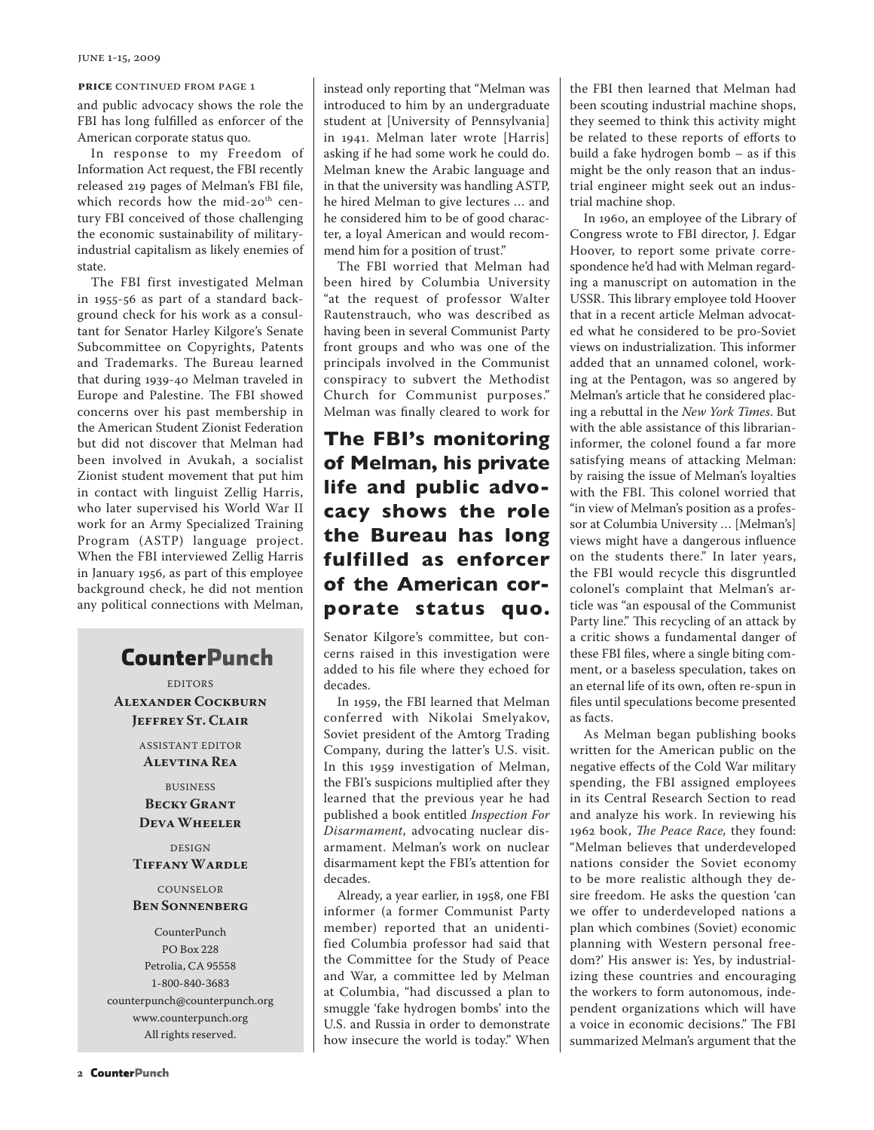and public advocacy shows the role the FBI has long fulfilled as enforcer of the American corporate status quo.

In response to my Freedom of Information Act request, the FBI recently released 219 pages of Melman's FBI file, which records how the mid-20<sup>th</sup> century FBI conceived of those challenging the economic sustainability of militaryindustrial capitalism as likely enemies of state.

The FBI first investigated Melman in 1955-56 as part of a standard background check for his work as a consultant for Senator Harley Kilgore's Senate Subcommittee on Copyrights, Patents and Trademarks. The Bureau learned that during 1939-40 Melman traveled in Europe and Palestine. The FBI showed concerns over his past membership in the American Student Zionist Federation but did not discover that Melman had been involved in Avukah, a socialist Zionist student movement that put him in contact with linguist Zellig Harris, who later supervised his World War II work for an Army Specialized Training Program (ASTP) language project. When the FBI interviewed Zellig Harris in January 1956, as part of this employee background check, he did not mention any political connections with Melman,

## **CounterPunch**

EDITORS **Alexander Cockburn Jeffrey St. Clair**

> ASSISTANT EDITOR **Alevtina Rea**

BUSINESS **Becky Grant Deva Wheeler**

#### DESIGN **Tiffany Wardle**

#### **COUNSELOR Ben Sonnenberg**

CounterPunch PO Box 228 Petrolia, CA 95558 1-800-840-3683 counterpunch@counterpunch.org www.counterpunch.org All rights reserved.

**PRICE** CONTINUED FROM PAGE 1 **that instead only reporting that "Melman was that FBI then learned that Melman had** introduced to him by an undergraduate student at [University of Pennsylvania] in 1941. Melman later wrote [Harris] asking if he had some work he could do. Melman knew the Arabic language and in that the university was handling ASTP, he hired Melman to give lectures … and he considered him to be of good character, a loyal American and would recommend him for a position of trust."

> The FBI worried that Melman had been hired by Columbia University "at the request of professor Walter Rautenstrauch, who was described as having been in several Communist Party front groups and who was one of the principals involved in the Communist conspiracy to subvert the Methodist Church for Communist purposes." Melman was finally cleared to work for

## **The FBI's monitoring of Melman, his private life and public advocacy shows the role the Bureau has long fulfilled as enforcer of the American corporate status quo.**

Senator Kilgore's committee, but concerns raised in this investigation were added to his file where they echoed for decades.

In 1959, the FBI learned that Melman conferred with Nikolai Smelyakov, Soviet president of the Amtorg Trading Company, during the latter's U.S. visit. In this 1959 investigation of Melman, the FBI's suspicions multiplied after they learned that the previous year he had published a book entitled *Inspection For Disarmament*, advocating nuclear disarmament. Melman's work on nuclear disarmament kept the FBI's attention for decades.

Already, a year earlier, in 1958, one FBI informer (a former Communist Party member) reported that an unidentified Columbia professor had said that the Committee for the Study of Peace and War, a committee led by Melman at Columbia, "had discussed a plan to smuggle 'fake hydrogen bombs' into the U.S. and Russia in order to demonstrate how insecure the world is today." When

been scouting industrial machine shops, they seemed to think this activity might be related to these reports of efforts to build a fake hydrogen bomb – as if this might be the only reason that an industrial engineer might seek out an industrial machine shop.

In 1960, an employee of the Library of Congress wrote to FBI director, J. Edgar Hoover, to report some private correspondence he'd had with Melman regarding a manuscript on automation in the USSR. This library employee told Hoover that in a recent article Melman advocated what he considered to be pro-Soviet views on industrialization. This informer added that an unnamed colonel, working at the Pentagon, was so angered by Melman's article that he considered placing a rebuttal in the *New York Times*. But with the able assistance of this librarianinformer, the colonel found a far more satisfying means of attacking Melman: by raising the issue of Melman's loyalties with the FBI. This colonel worried that "in view of Melman's position as a professor at Columbia University … [Melman's] views might have a dangerous influence on the students there." In later years, the FBI would recycle this disgruntled colonel's complaint that Melman's article was "an espousal of the Communist Party line." This recycling of an attack by a critic shows a fundamental danger of these FBI files, where a single biting comment, or a baseless speculation, takes on an eternal life of its own, often re-spun in files until speculations become presented as facts.

As Melman began publishing books written for the American public on the negative effects of the Cold War military spending, the FBI assigned employees in its Central Research Section to read and analyze his work. In reviewing his 1962 book, *The Peace Race,* they found: "Melman believes that underdeveloped nations consider the Soviet economy to be more realistic although they desire freedom. He asks the question 'can we offer to underdeveloped nations a plan which combines (Soviet) economic planning with Western personal freedom?' His answer is: Yes, by industrializing these countries and encouraging the workers to form autonomous, independent organizations which will have a voice in economic decisions." The FBI summarized Melman's argument that the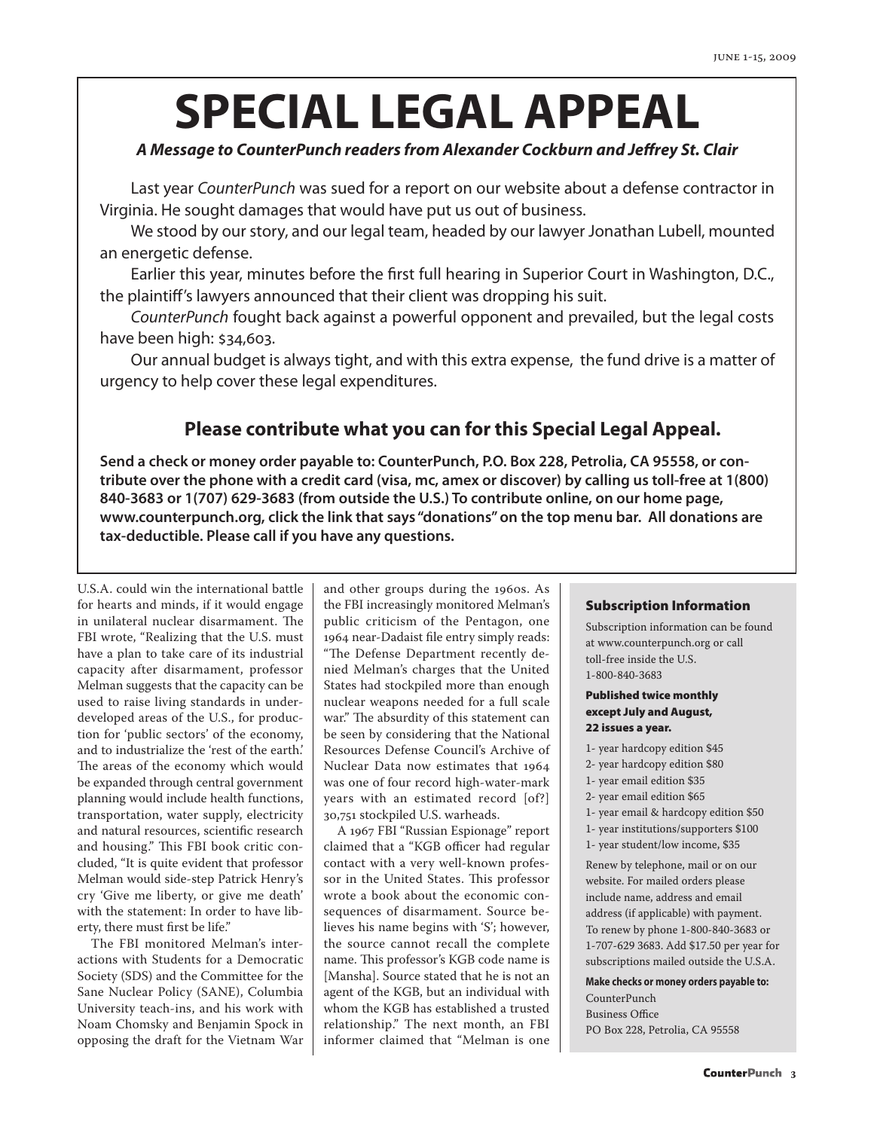# **SPECIAL LEGAL APPEAL**

#### *A Message to CounterPunch readers from Alexander Cockburn and Jeffrey St. Clair*

Last year *CounterPunch* was sued for a report on our website about a defense contractor in Virginia. He sought damages that would have put us out of business.

We stood by our story, and our legal team, headed by our lawyer Jonathan Lubell, mounted an energetic defense.

Earlier this year, minutes before the first full hearing in Superior Court in Washington, D.C., the plaintiff's lawyers announced that their client was dropping his suit.

*CounterPunch* fought back against a powerful opponent and prevailed, but the legal costs have been high: \$34,603.

Our annual budget is always tight, and with this extra expense, the fund drive is a matter of urgency to help cover these legal expenditures.

### **Please contribute what you can for this Special Legal Appeal.**

**Send a check or money order payable to: CounterPunch, P.O. Box 228, Petrolia, CA 95558, or contribute over the phone with a credit card (visa, mc, amex or discover) by calling us toll-free at 1(800) 840-3683 or 1(707) 629-3683 (from outside the U.S.) To contribute online, on our home page, www.counterpunch.org, click the link that says "donations" on the top menu bar. All donations are tax-deductible. Please call if you have any questions.** 

U.S.A. could win the international battle for hearts and minds, if it would engage in unilateral nuclear disarmament. The FBI wrote, "Realizing that the U.S. must have a plan to take care of its industrial capacity after disarmament, professor Melman suggests that the capacity can be used to raise living standards in underdeveloped areas of the U.S., for production for 'public sectors' of the economy, and to industrialize the 'rest of the earth.' The areas of the economy which would be expanded through central government planning would include health functions, transportation, water supply, electricity and natural resources, scientific research and housing." This FBI book critic concluded, "It is quite evident that professor Melman would side-step Patrick Henry's cry 'Give me liberty, or give me death' with the statement: In order to have liberty, there must first be life."

The FBI monitored Melman's interactions with Students for a Democratic Society (SDS) and the Committee for the Sane Nuclear Policy (SANE), Columbia University teach-ins, and his work with Noam Chomsky and Benjamin Spock in opposing the draft for the Vietnam War

and other groups during the 1960s. As the FBI increasingly monitored Melman's public criticism of the Pentagon, one 1964 near-Dadaist file entry simply reads: "The Defense Department recently denied Melman's charges that the United States had stockpiled more than enough nuclear weapons needed for a full scale war." The absurdity of this statement can be seen by considering that the National Resources Defense Council's Archive of Nuclear Data now estimates that 1964 was one of four record high-water-mark years with an estimated record [of?] 30,751 stockpiled U.S. warheads.

A 1967 FBI "Russian Espionage" report claimed that a "KGB officer had regular contact with a very well-known professor in the United States. This professor wrote a book about the economic consequences of disarmament. Source believes his name begins with 'S'; however, the source cannot recall the complete name. This professor's KGB code name is [Mansha]. Source stated that he is not an agent of the KGB, but an individual with whom the KGB has established a trusted relationship." The next month, an FBI informer claimed that "Melman is one

#### Subscription Information

Subscription information can be found at www.counterpunch.org or call toll-free inside the U.S. 1-800-840-3683

#### Published twice monthly except July and August, 22 issues a year.

- 1- year hardcopy edition \$45
- 2- year hardcopy edition \$80
- 1- year email edition \$35
- 2- year email edition \$65
- 1- year email & hardcopy edition \$50
- 1- year institutions/supporters \$100
- 1- year student/low income, \$35

Renew by telephone, mail or on our website. For mailed orders please include name, address and email address (if applicable) with payment. To renew by phone 1-800-840-3683 or 1-707-629 3683. Add \$17.50 per year for subscriptions mailed outside the U.S.A.

**Make checks or money orders payable to:**  CounterPunch Business Office PO Box 228, Petrolia, CA 95558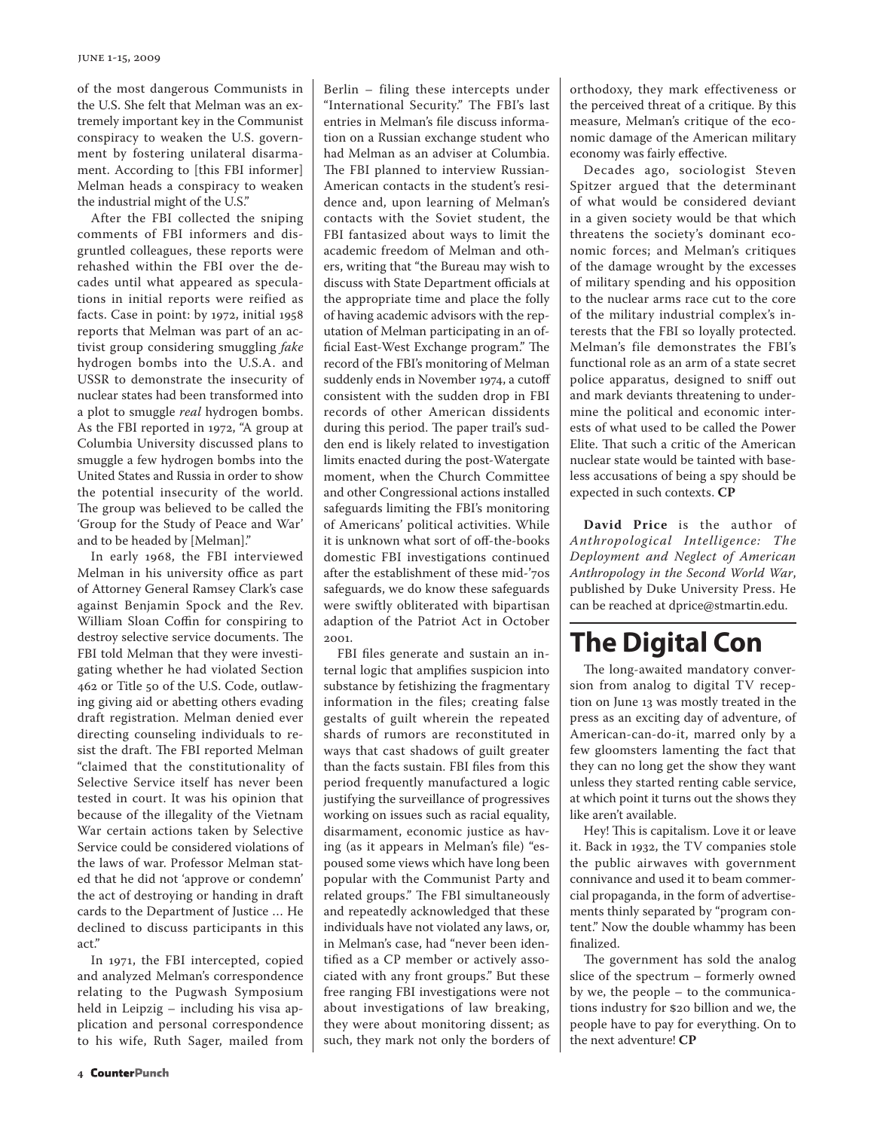#### june 1-15, 2009

of the most dangerous Communists in the U.S. She felt that Melman was an extremely important key in the Communist conspiracy to weaken the U.S. government by fostering unilateral disarmament. According to [this FBI informer] Melman heads a conspiracy to weaken the industrial might of the U.S."

After the FBI collected the sniping comments of FBI informers and disgruntled colleagues, these reports were rehashed within the FBI over the decades until what appeared as speculations in initial reports were reified as facts. Case in point: by 1972, initial 1958 reports that Melman was part of an activist group considering smuggling *fake* hydrogen bombs into the U.S.A. and USSR to demonstrate the insecurity of nuclear states had been transformed into a plot to smuggle *real* hydrogen bombs. As the FBI reported in 1972, "A group at Columbia University discussed plans to smuggle a few hydrogen bombs into the United States and Russia in order to show the potential insecurity of the world. The group was believed to be called the 'Group for the Study of Peace and War' and to be headed by [Melman]."

In early 1968, the FBI interviewed Melman in his university office as part of Attorney General Ramsey Clark's case against Benjamin Spock and the Rev. William Sloan Coffin for conspiring to destroy selective service documents. The FBI told Melman that they were investigating whether he had violated Section 462 or Title 50 of the U.S. Code, outlawing giving aid or abetting others evading draft registration. Melman denied ever directing counseling individuals to resist the draft. The FBI reported Melman "claimed that the constitutionality of Selective Service itself has never been tested in court. It was his opinion that because of the illegality of the Vietnam War certain actions taken by Selective Service could be considered violations of the laws of war. Professor Melman stated that he did not 'approve or condemn' the act of destroying or handing in draft cards to the Department of Justice … He declined to discuss participants in this act."

In 1971, the FBI intercepted, copied and analyzed Melman's correspondence relating to the Pugwash Symposium held in Leipzig – including his visa application and personal correspondence to his wife, Ruth Sager, mailed from

Berlin – filing these intercepts under "International Security." The FBI's last entries in Melman's file discuss information on a Russian exchange student who had Melman as an adviser at Columbia. The FBI planned to interview Russian-American contacts in the student's residence and, upon learning of Melman's contacts with the Soviet student, the FBI fantasized about ways to limit the academic freedom of Melman and others, writing that "the Bureau may wish to discuss with State Department officials at the appropriate time and place the folly of having academic advisors with the reputation of Melman participating in an official East-West Exchange program." The record of the FBI's monitoring of Melman suddenly ends in November 1974, a cutoff consistent with the sudden drop in FBI records of other American dissidents during this period. The paper trail's sudden end is likely related to investigation limits enacted during the post-Watergate moment, when the Church Committee and other Congressional actions installed safeguards limiting the FBI's monitoring of Americans' political activities. While it is unknown what sort of off-the-books domestic FBI investigations continued after the establishment of these mid-'70s safeguards, we do know these safeguards were swiftly obliterated with bipartisan adaption of the Patriot Act in October 2001.

FBI files generate and sustain an internal logic that amplifies suspicion into substance by fetishizing the fragmentary information in the files; creating false gestalts of guilt wherein the repeated shards of rumors are reconstituted in ways that cast shadows of guilt greater than the facts sustain. FBI files from this period frequently manufactured a logic justifying the surveillance of progressives working on issues such as racial equality, disarmament, economic justice as having (as it appears in Melman's file) "espoused some views which have long been popular with the Communist Party and related groups." The FBI simultaneously and repeatedly acknowledged that these individuals have not violated any laws, or, in Melman's case, had "never been identified as a CP member or actively associated with any front groups." But these free ranging FBI investigations were not about investigations of law breaking, they were about monitoring dissent; as such, they mark not only the borders of orthodoxy, they mark effectiveness or the perceived threat of a critique. By this measure, Melman's critique of the economic damage of the American military economy was fairly effective.

Decades ago, sociologist Steven Spitzer argued that the determinant of what would be considered deviant in a given society would be that which threatens the society's dominant economic forces; and Melman's critiques of the damage wrought by the excesses of military spending and his opposition to the nuclear arms race cut to the core of the military industrial complex's interests that the FBI so loyally protected. Melman's file demonstrates the FBI's functional role as an arm of a state secret police apparatus, designed to sniff out and mark deviants threatening to undermine the political and economic interests of what used to be called the Power Elite. That such a critic of the American nuclear state would be tainted with baseless accusations of being a spy should be expected in such contexts. **CP**

**David Price** is the author of *Anthropological Intelligence: The Deployment and Neglect of American Anthropology in the Second World War*, published by Duke University Press. He can be reached at dprice@stmartin.edu.

# **The Digital Con**

The long-awaited mandatory conversion from analog to digital TV reception on June 13 was mostly treated in the press as an exciting day of adventure, of American-can-do-it, marred only by a few gloomsters lamenting the fact that they can no long get the show they want unless they started renting cable service, at which point it turns out the shows they like aren't available.

Hey! This is capitalism. Love it or leave it. Back in 1932, the TV companies stole the public airwaves with government connivance and used it to beam commercial propaganda, in the form of advertisements thinly separated by "program content." Now the double whammy has been finalized.

The government has sold the analog slice of the spectrum – formerly owned by we, the people – to the communications industry for \$20 billion and we, the people have to pay for everything. On to the next adventure! **CP**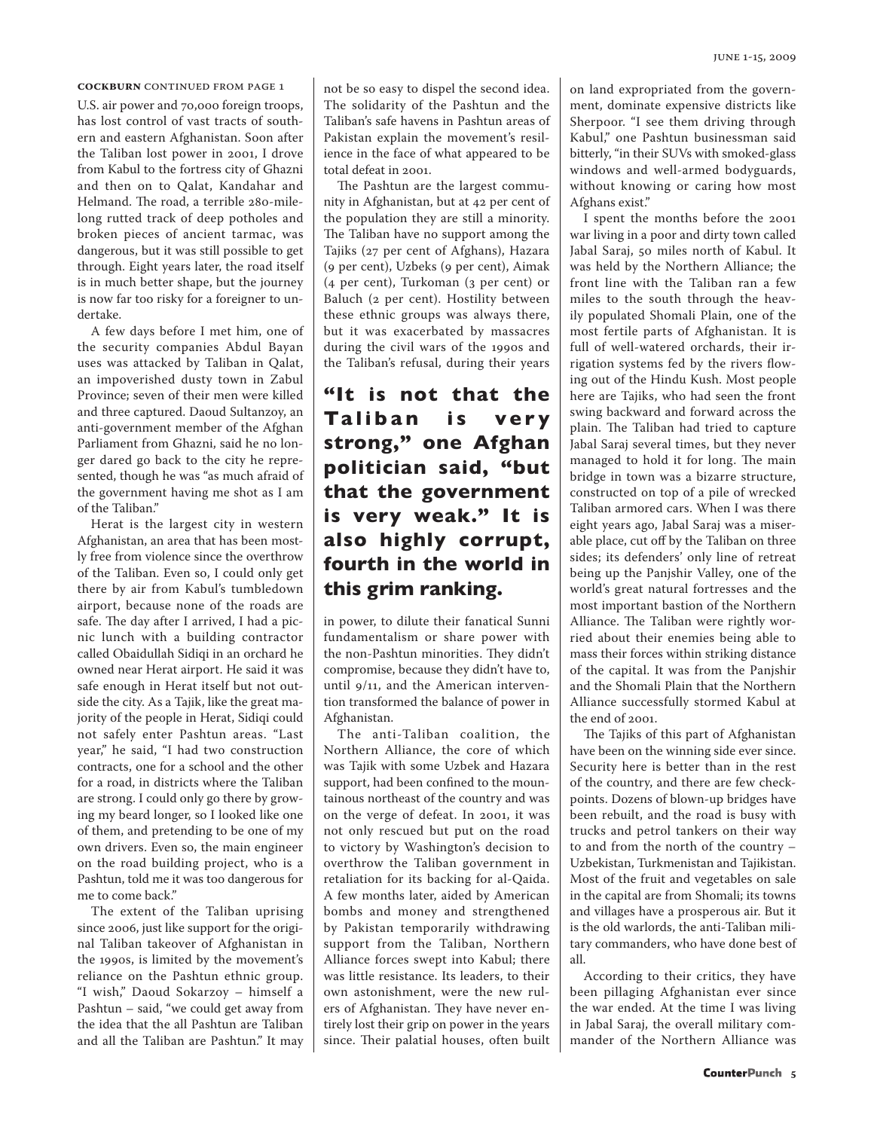**COCKBURN** CONTINUED FROM PAGE 1

U.S. air power and 70,000 foreign troops, has lost control of vast tracts of southern and eastern Afghanistan. Soon after the Taliban lost power in 2001, I drove from Kabul to the fortress city of Ghazni and then on to Qalat, Kandahar and Helmand. The road, a terrible 280-milelong rutted track of deep potholes and broken pieces of ancient tarmac, was dangerous, but it was still possible to get through. Eight years later, the road itself is in much better shape, but the journey is now far too risky for a foreigner to undertake.

A few days before I met him, one of the security companies Abdul Bayan uses was attacked by Taliban in Qalat, an impoverished dusty town in Zabul Province; seven of their men were killed and three captured. Daoud Sultanzoy, an anti-government member of the Afghan Parliament from Ghazni, said he no longer dared go back to the city he represented, though he was "as much afraid of the government having me shot as I am of the Taliban."

Herat is the largest city in western Afghanistan, an area that has been mostly free from violence since the overthrow of the Taliban. Even so, I could only get there by air from Kabul's tumbledown airport, because none of the roads are safe. The day after I arrived, I had a picnic lunch with a building contractor called Obaidullah Sidiqi in an orchard he owned near Herat airport. He said it was safe enough in Herat itself but not outside the city. As a Tajik, like the great majority of the people in Herat, Sidiqi could not safely enter Pashtun areas. "Last year," he said, "I had two construction contracts, one for a school and the other for a road, in districts where the Taliban are strong. I could only go there by growing my beard longer, so I looked like one of them, and pretending to be one of my own drivers. Even so, the main engineer on the road building project, who is a Pashtun, told me it was too dangerous for me to come back."

The extent of the Taliban uprising since 2006, just like support for the original Taliban takeover of Afghanistan in the 1990s, is limited by the movement's reliance on the Pashtun ethnic group. "I wish," Daoud Sokarzoy – himself a Pashtun – said, "we could get away from the idea that the all Pashtun are Taliban and all the Taliban are Pashtun." It may not be so easy to dispel the second idea. The solidarity of the Pashtun and the Taliban's safe havens in Pashtun areas of Pakistan explain the movement's resilience in the face of what appeared to be total defeat in 2001.

The Pashtun are the largest community in Afghanistan, but at 42 per cent of the population they are still a minority. The Taliban have no support among the Tajiks (27 per cent of Afghans), Hazara (9 per cent), Uzbeks (9 per cent), Aimak (4 per cent), Turkoman (3 per cent) or Baluch (2 per cent). Hostility between these ethnic groups was always there, but it was exacerbated by massacres during the civil wars of the 1990s and the Taliban's refusal, during their years

## **"It is not that the Taliban is very strong," one Afghan politician said, "but that the government is very weak." It is also highly corrupt, fourth in the world in this grim ranking.**

in power, to dilute their fanatical Sunni fundamentalism or share power with the non-Pashtun minorities. They didn't compromise, because they didn't have to, until 9/11, and the American intervention transformed the balance of power in Afghanistan.

The anti-Taliban coalition, the Northern Alliance, the core of which was Tajik with some Uzbek and Hazara support, had been confined to the mountainous northeast of the country and was on the verge of defeat. In 2001, it was not only rescued but put on the road to victory by Washington's decision to overthrow the Taliban government in retaliation for its backing for al-Qaida. A few months later, aided by American bombs and money and strengthened by Pakistan temporarily withdrawing support from the Taliban, Northern Alliance forces swept into Kabul; there was little resistance. Its leaders, to their own astonishment, were the new rulers of Afghanistan. They have never entirely lost their grip on power in the years since. Their palatial houses, often built

on land expropriated from the government, dominate expensive districts like Sherpoor. "I see them driving through Kabul," one Pashtun businessman said bitterly, "in their SUVs with smoked-glass windows and well-armed bodyguards, without knowing or caring how most Afghans exist."

I spent the months before the 2001 war living in a poor and dirty town called Jabal Saraj, 50 miles north of Kabul. It was held by the Northern Alliance; the front line with the Taliban ran a few miles to the south through the heavily populated Shomali Plain, one of the most fertile parts of Afghanistan. It is full of well-watered orchards, their irrigation systems fed by the rivers flowing out of the Hindu Kush. Most people here are Tajiks, who had seen the front swing backward and forward across the plain. The Taliban had tried to capture Jabal Saraj several times, but they never managed to hold it for long. The main bridge in town was a bizarre structure, constructed on top of a pile of wrecked Taliban armored cars. When I was there eight years ago, Jabal Saraj was a miserable place, cut off by the Taliban on three sides; its defenders' only line of retreat being up the Panjshir Valley, one of the world's great natural fortresses and the most important bastion of the Northern Alliance. The Taliban were rightly worried about their enemies being able to mass their forces within striking distance of the capital. It was from the Panjshir and the Shomali Plain that the Northern Alliance successfully stormed Kabul at the end of 2001.

The Tajiks of this part of Afghanistan have been on the winning side ever since. Security here is better than in the rest of the country, and there are few checkpoints. Dozens of blown-up bridges have been rebuilt, and the road is busy with trucks and petrol tankers on their way to and from the north of the country – Uzbekistan, Turkmenistan and Tajikistan. Most of the fruit and vegetables on sale in the capital are from Shomali; its towns and villages have a prosperous air. But it is the old warlords, the anti-Taliban military commanders, who have done best of all.

According to their critics, they have been pillaging Afghanistan ever since the war ended. At the time I was living in Jabal Saraj, the overall military commander of the Northern Alliance was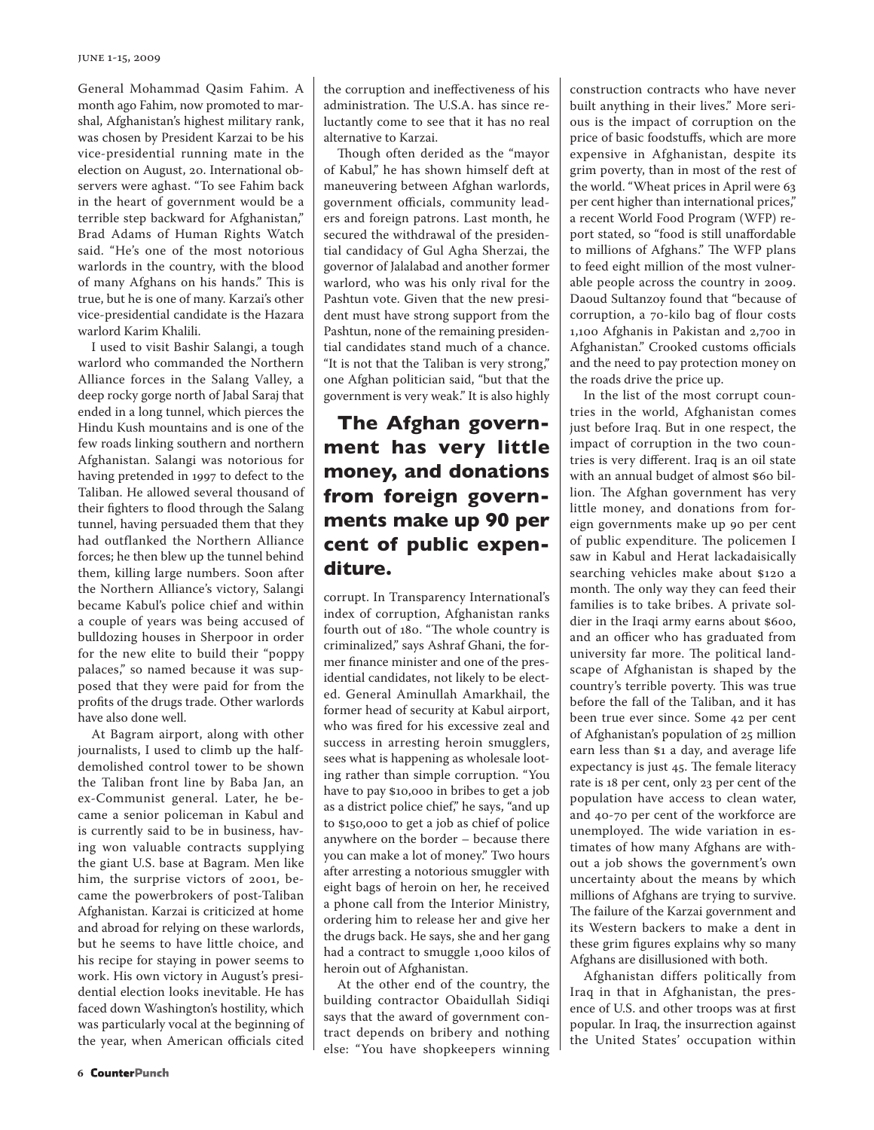General Mohammad Qasim Fahim. A month ago Fahim, now promoted to marshal, Afghanistan's highest military rank, was chosen by President Karzai to be his vice-presidential running mate in the election on August, 20. International observers were aghast. "To see Fahim back in the heart of government would be a terrible step backward for Afghanistan," Brad Adams of Human Rights Watch said. "He's one of the most notorious warlords in the country, with the blood of many Afghans on his hands." This is true, but he is one of many. Karzai's other vice-presidential candidate is the Hazara warlord Karim Khalili.

I used to visit Bashir Salangi, a tough warlord who commanded the Northern Alliance forces in the Salang Valley, a deep rocky gorge north of Jabal Saraj that ended in a long tunnel, which pierces the Hindu Kush mountains and is one of the few roads linking southern and northern Afghanistan. Salangi was notorious for having pretended in 1997 to defect to the Taliban. He allowed several thousand of their fighters to flood through the Salang tunnel, having persuaded them that they had outflanked the Northern Alliance forces; he then blew up the tunnel behind them, killing large numbers. Soon after the Northern Alliance's victory, Salangi became Kabul's police chief and within a couple of years was being accused of bulldozing houses in Sherpoor in order for the new elite to build their "poppy palaces," so named because it was supposed that they were paid for from the profits of the drugs trade. Other warlords have also done well.

At Bagram airport, along with other journalists, I used to climb up the halfdemolished control tower to be shown the Taliban front line by Baba Jan, an ex-Communist general. Later, he became a senior policeman in Kabul and is currently said to be in business, having won valuable contracts supplying the giant U.S. base at Bagram. Men like him, the surprise victors of 2001, became the powerbrokers of post-Taliban Afghanistan. Karzai is criticized at home and abroad for relying on these warlords, but he seems to have little choice, and his recipe for staying in power seems to work. His own victory in August's presidential election looks inevitable. He has faced down Washington's hostility, which was particularly vocal at the beginning of the year, when American officials cited the corruption and ineffectiveness of his administration. The U.S.A. has since reluctantly come to see that it has no real alternative to Karzai.

Though often derided as the "mayor of Kabul," he has shown himself deft at maneuvering between Afghan warlords, government officials, community leaders and foreign patrons. Last month, he secured the withdrawal of the presidential candidacy of Gul Agha Sherzai, the governor of Jalalabad and another former warlord, who was his only rival for the Pashtun vote. Given that the new president must have strong support from the Pashtun, none of the remaining presidential candidates stand much of a chance. "It is not that the Taliban is very strong," one Afghan politician said, "but that the government is very weak." It is also highly

## **The Afghan government has very little money, and donations from foreign governments make up 90 per cent of public expenditure.**

corrupt. In Transparency International's index of corruption, Afghanistan ranks fourth out of 180. "The whole country is criminalized," says Ashraf Ghani, the former finance minister and one of the presidential candidates, not likely to be elected. General Aminullah Amarkhail, the former head of security at Kabul airport, who was fired for his excessive zeal and success in arresting heroin smugglers, sees what is happening as wholesale looting rather than simple corruption. "You have to pay \$10,000 in bribes to get a job as a district police chief," he says, "and up to \$150,000 to get a job as chief of police anywhere on the border – because there you can make a lot of money." Two hours after arresting a notorious smuggler with eight bags of heroin on her, he received a phone call from the Interior Ministry, ordering him to release her and give her the drugs back. He says, she and her gang had a contract to smuggle 1,000 kilos of heroin out of Afghanistan.

At the other end of the country, the building contractor Obaidullah Sidiqi says that the award of government contract depends on bribery and nothing else: "You have shopkeepers winning construction contracts who have never built anything in their lives." More serious is the impact of corruption on the price of basic foodstuffs, which are more expensive in Afghanistan, despite its grim poverty, than in most of the rest of the world. "Wheat prices in April were 63 per cent higher than international prices," a recent World Food Program (WFP) report stated, so "food is still unaffordable to millions of Afghans." The WFP plans to feed eight million of the most vulnerable people across the country in 2009. Daoud Sultanzoy found that "because of corruption, a 70-kilo bag of flour costs 1,100 Afghanis in Pakistan and 2,700 in Afghanistan." Crooked customs officials and the need to pay protection money on the roads drive the price up.

In the list of the most corrupt countries in the world, Afghanistan comes just before Iraq. But in one respect, the impact of corruption in the two countries is very different. Iraq is an oil state with an annual budget of almost \$60 billion. The Afghan government has very little money, and donations from foreign governments make up 90 per cent of public expenditure. The policemen I saw in Kabul and Herat lackadaisically searching vehicles make about \$120 a month. The only way they can feed their families is to take bribes. A private soldier in the Iraqi army earns about \$600, and an officer who has graduated from university far more. The political landscape of Afghanistan is shaped by the country's terrible poverty. This was true before the fall of the Taliban, and it has been true ever since. Some 42 per cent of Afghanistan's population of 25 million earn less than \$1 a day, and average life expectancy is just 45. The female literacy rate is 18 per cent, only 23 per cent of the population have access to clean water, and 40-70 per cent of the workforce are unemployed. The wide variation in estimates of how many Afghans are without a job shows the government's own uncertainty about the means by which millions of Afghans are trying to survive. The failure of the Karzai government and its Western backers to make a dent in these grim figures explains why so many Afghans are disillusioned with both.

Afghanistan differs politically from Iraq in that in Afghanistan, the presence of U.S. and other troops was at first popular. In Iraq, the insurrection against the United States' occupation within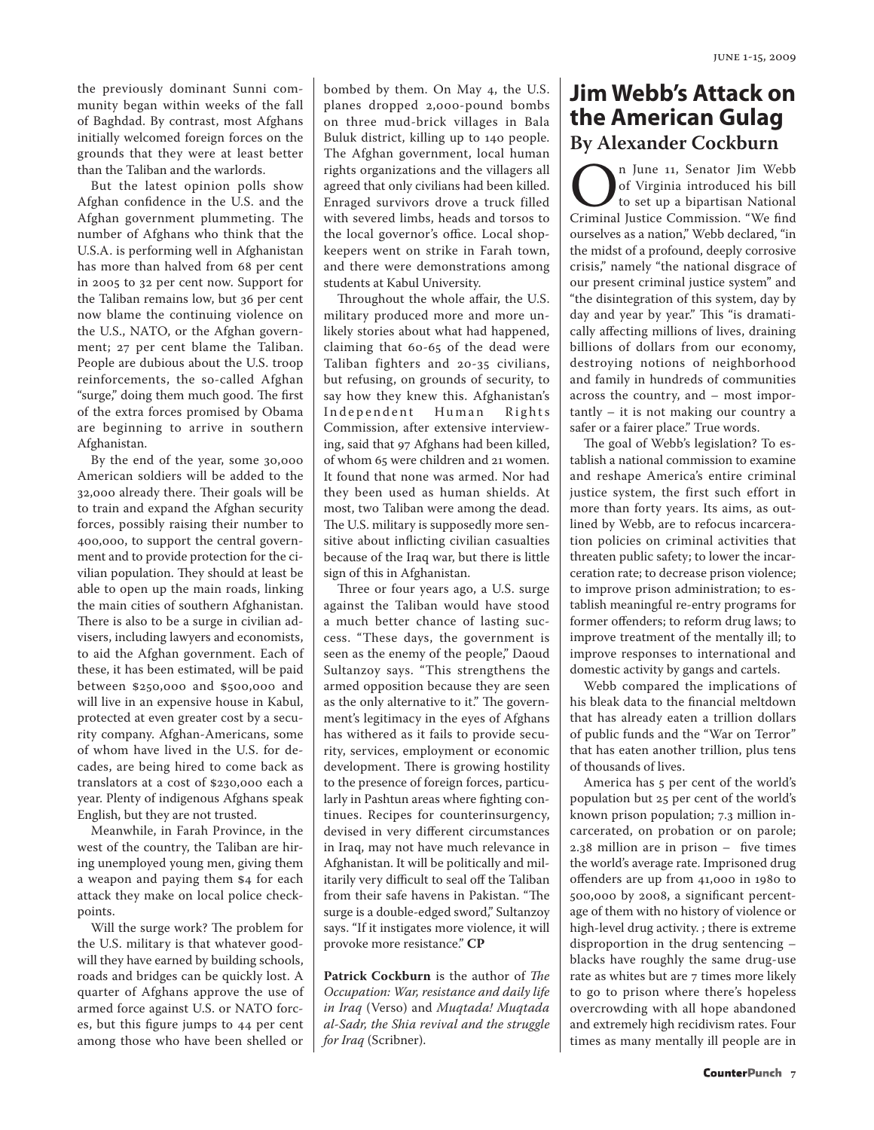the previously dominant Sunni community began within weeks of the fall of Baghdad. By contrast, most Afghans initially welcomed foreign forces on the grounds that they were at least better than the Taliban and the warlords.

But the latest opinion polls show Afghan confidence in the U.S. and the Afghan government plummeting. The number of Afghans who think that the U.S.A. is performing well in Afghanistan has more than halved from 68 per cent in 2005 to 32 per cent now. Support for the Taliban remains low, but 36 per cent now blame the continuing violence on the U.S., NATO, or the Afghan government; 27 per cent blame the Taliban. People are dubious about the U.S. troop reinforcements, the so-called Afghan "surge," doing them much good. The first of the extra forces promised by Obama are beginning to arrive in southern Afghanistan.

By the end of the year, some 30,000 American soldiers will be added to the 32,000 already there. Their goals will be to train and expand the Afghan security forces, possibly raising their number to 400,000, to support the central government and to provide protection for the civilian population. They should at least be able to open up the main roads, linking the main cities of southern Afghanistan. There is also to be a surge in civilian advisers, including lawyers and economists, to aid the Afghan government. Each of these, it has been estimated, will be paid between \$250,000 and \$500,000 and will live in an expensive house in Kabul, protected at even greater cost by a security company. Afghan-Americans, some of whom have lived in the U.S. for decades, are being hired to come back as translators at a cost of \$230,000 each a year. Plenty of indigenous Afghans speak English, but they are not trusted.

Meanwhile, in Farah Province, in the west of the country, the Taliban are hiring unemployed young men, giving them a weapon and paying them \$4 for each attack they make on local police checkpoints.

Will the surge work? The problem for the U.S. military is that whatever goodwill they have earned by building schools, roads and bridges can be quickly lost. A quarter of Afghans approve the use of armed force against U.S. or NATO forces, but this figure jumps to 44 per cent among those who have been shelled or

bombed by them. On May 4, the U.S. planes dropped 2,000-pound bombs on three mud-brick villages in Bala Buluk district, killing up to 140 people. The Afghan government, local human rights organizations and the villagers all agreed that only civilians had been killed. Enraged survivors drove a truck filled with severed limbs, heads and torsos to the local governor's office. Local shopkeepers went on strike in Farah town, and there were demonstrations among students at Kabul University.

Throughout the whole affair, the U.S. military produced more and more unlikely stories about what had happened, claiming that 60-65 of the dead were Taliban fighters and 20-35 civilians, but refusing, on grounds of security, to say how they knew this. Afghanistan's Independent Human Rights Commission, after extensive interviewing, said that 97 Afghans had been killed, of whom 65 were children and 21 women. It found that none was armed. Nor had they been used as human shields. At most, two Taliban were among the dead. The U.S. military is supposedly more sensitive about inflicting civilian casualties because of the Iraq war, but there is little sign of this in Afghanistan.

Three or four years ago, a U.S. surge against the Taliban would have stood a much better chance of lasting success. "These days, the government is seen as the enemy of the people," Daoud Sultanzoy says. "This strengthens the armed opposition because they are seen as the only alternative to it." The government's legitimacy in the eyes of Afghans has withered as it fails to provide security, services, employment or economic development. There is growing hostility to the presence of foreign forces, particularly in Pashtun areas where fighting continues. Recipes for counterinsurgency, devised in very different circumstances in Iraq, may not have much relevance in Afghanistan. It will be politically and militarily very difficult to seal off the Taliban from their safe havens in Pakistan. "The surge is a double-edged sword," Sultanzoy says. "If it instigates more violence, it will provoke more resistance." **CP**

**Patrick Cockburn** is the author of *The Occupation: War, resistance and daily life in Iraq* (Verso) and *Muqtada! Muqtada al-Sadr, the Shia revival and the struggle for Iraq* (Scribner).

## **Jim Webb's Attack on the American Gulag By Alexander Cockburn**

**On** June 11, Senator Jim Webb of Virginia introduced his bill to set up a bipartisan National Criminal Justice Commission. "We find of Virginia introduced his bill to set up a bipartisan National ourselves as a nation," Webb declared, "in the midst of a profound, deeply corrosive crisis," namely "the national disgrace of our present criminal justice system" and "the disintegration of this system, day by day and year by year." This "is dramatically affecting millions of lives, draining billions of dollars from our economy, destroying notions of neighborhood and family in hundreds of communities across the country, and – most importantly – it is not making our country a safer or a fairer place." True words.

The goal of Webb's legislation? To establish a national commission to examine and reshape America's entire criminal justice system, the first such effort in more than forty years. Its aims, as outlined by Webb, are to refocus incarceration policies on criminal activities that threaten public safety; to lower the incarceration rate; to decrease prison violence; to improve prison administration; to establish meaningful re-entry programs for former offenders; to reform drug laws; to improve treatment of the mentally ill; to improve responses to international and domestic activity by gangs and cartels.

Webb compared the implications of his bleak data to the financial meltdown that has already eaten a trillion dollars of public funds and the "War on Terror" that has eaten another trillion, plus tens of thousands of lives.

America has 5 per cent of the world's population but 25 per cent of the world's known prison population; 7.3 million incarcerated, on probation or on parole; 2.38 million are in prison – five times the world's average rate. Imprisoned drug offenders are up from 41,000 in 1980 to 500,000 by 2008, a significant percentage of them with no history of violence or high-level drug activity. ; there is extreme disproportion in the drug sentencing – blacks have roughly the same drug-use rate as whites but are 7 times more likely to go to prison where there's hopeless overcrowding with all hope abandoned and extremely high recidivism rates. Four times as many mentally ill people are in